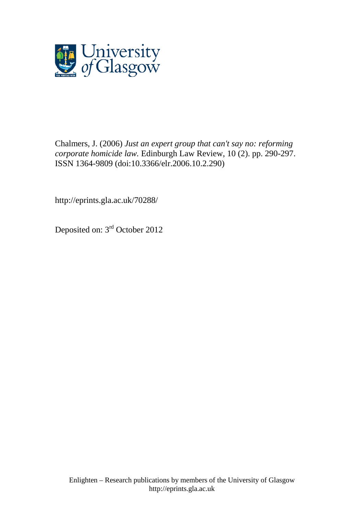

[Chalmers, J.](http://eprints.gla.ac.uk/view/author/28856.html) (2006) *Just an expert group that can't say no: reforming corporate homicide law.* [Edinburgh Law Review,](http://eprints.gla.ac.uk/view/journal_volume/Edinburgh_Law_Review.html) 10 (2). pp. 290-297. ISSN 1364-9809 (doi[:10.3366/elr.2006.10.2.290\)](http://dx.doi.org/10.3366/elr.2006.10.2.290)

http://eprints.gla.ac.uk/70288/

Deposited on: 3rd October 2012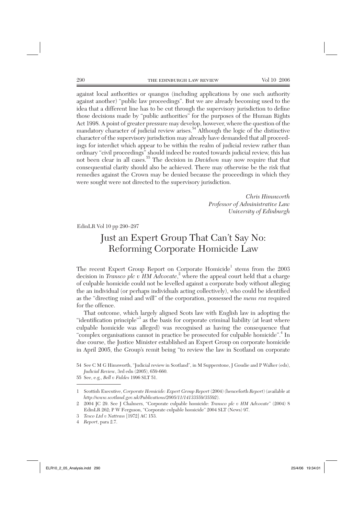against local authorities or quangos (including applications by one such authority against another) "public law proceedings". But we are already becoming used to the idea that a different line has to be cut through the supervisory jurisdiction to define those decisions made by "public authorities" for the purposes of the Human Rights Act 1998. A point of greater pressure may develop, however, where the question of the mandatory character of judicial review arises.<sup>54</sup> Although the logic of the distinctive character of the supervisory jurisdiction may already have demanded that all proceedings for interdict which appear to be within the realm of judicial review rather than ordinary "civil proceedings" should indeed be routed towards judicial review, this has not been clear in all cases.55 The decision in *Davidson* may now require that that consequential clarity should also be achieved. There may otherwise be the risk that remedies against the Crown may be denied because the proceedings in which they were sought were not directed to the supervisory jurisdiction.

> *Chris Himsworth Professor of Administrative Law University of Edinburgh*

 $EdinLR$  Vol 10 pp 290–297

# *Judicial Review*, 3rd edn (2005), 659-660. Just an Expert Group That Can't Say No: Reforming Corporate Homicide Law

The recent Expert Group Report on Corporate Homicide<sup>1</sup> stems from the  $2003$ decision in *Transco plc v HM Advocate*,<sup>2</sup> where the appeal court held that a charge of culpable homicide could not be levelled against a corporate body without alleging the an individual (or perhaps individuals acting collectively), who could be identified as the "directing mind and will" of the corporation, possessed the *mens rea* required for the offence.

That outcome, which largely aligned Scots law with English law in adopting the "identification principle"<sup>3</sup> as the basis for corporate criminal liability (at least where culpable homicide was alleged) was recognised as having the consequence that "complex organisations cannot in practice be prosecuted for culpable homicide".<sup>4</sup> In due course, the Justice Minister established an Expert Group on corporate homicide in April 2005, the Group's remit being "to review the law in Scotland on corporate

55 See, e.g., *Bell v Fiddes* 1996 SLT 51.

<sup>54</sup> See C M G Himsworth, "Judicial review in Scotland", in M Supperstone, J Goudie and P Walker (eds), *Judicial Review*, 3rd edn (2005), 659-660.

<sup>1</sup> Scottish Executive, *Corporate Homicide: Expert Group Report* (2004) (henceforth *Report*) (available at *http://www.scotland.gov.uk/Publications/2005/11/14133559/35592*).

<sup>2 2004</sup> JC 29. See J Chalmers, "Corporate culpable homicide: *Transco plc v HM Advocate*" (2004) 8 EdinLR 262; P W Ferguson, "Corporate culpable homicide" 2004 SLT (News) 97.

<sup>3</sup> *Tesco Ltd v Nattrass* [1972] AC 153.

<sup>4</sup> *Report*, para 2.7.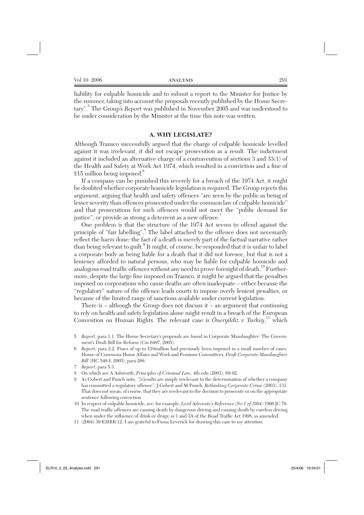liability for culpable homicide and to submit a report to the Minister for Justice by the summer, taking into account the proposals recently published by the Home Secretary".<sup>5</sup> The Group's *Report* was published in November 2005 and was understood to be under consideration by the Minister at the time this note was written.

#### **A. WHY LEGISLATE?**

Although Transco successfully argued that the charge of culpable homicide levelled against it was irrelevant, it did not escape prosecution as a result. The indictment against it included an alternative charge of a contravention of sections 3 and 33(1) of the Health and Safety at Work Act 1974, which resulted in a conviction and a fine of  $£15$  million being imposed. $^{\circ}$ 

If a company can be punished this severely for a breach of the 1974 Act, it might be doubted whether corporate homicide legislation is required. The Group rejects this argument, arguing that health and safety offences "are seen by the public as being of lesser severity than offences prosecuted under the common law of culpable homicide" and that prosecutions for such offences would not meet the "public demand for justice", or provide as strong a deterrent as a new offence.

One problem is that the structure of the 1974 Act seems to offend against the principle of "fair labelling".<sup>8</sup> The label attached to the offence does not necessarily reflect the harm done: the fact of a death is merely part of the factual narrative rather than being relevant to guilt.<sup>9</sup> It might, of course, be responded that it is unfair to label a corporate body as being liable for a death that it did not foresee, but that is not a leniency afforded to natural persons, who may be liable for culpable homicide and analogous road traffic offences without any need to prove foresight of death.<sup>10</sup> Furthermore, despite the large fine imposed on Transco, it might be argued that the penalties imposed on corporations who cause deaths are often inadequate – either because the "regulatory" nature of the offence leads courts to impose overly lenient penalties, or because of the limited range of sanctions available under current legislation.

There is – although the Group does not discuss it – an argument that continuing to rely on health and safety legislation alone might result in a breach of the European Convention on Human Rights. The relevant case is *Öneryildiz v Turkey*,<sup>11</sup> which

- 6 *Report,* para 2.2. Fines of up to £10million had previously been imposed in a small number of cases: House of Commons Home Affairs and Work and Pensions Committees, *Draft Corporate Manslaughter Bill* (HC 540-I, 2005), para 266.
- 7 *Report*, para 5.3.
- 8 On which see A Ashworth, *Principles of Criminal Law,* 4th edn (2003), 89-92.
- 9 As Gobert and Punch note, "[r]esults are simply irrelevant to the determination of whether a company has committed a regulatory offence": J Gobert and M Punch, *Rethinking Corporate Crime* (2003), 131. That does not mean, of course, that they are irrelevant to the decision to prosecute or on the appropriate sentence following conviction.
- 10 In respect of culpable homicide, see, for example, *Lord Advocate's Reference (No 1 of 1994)* 1996 JC 76. The road traffic offences are causing death by dangerous driving and causing death by careless driving when under the influence of drink or drugs: ss 1 and 3A of the Road Traffic Act 1998, as amended.
- 11 (2004) 39 EHRR 12. I am grateful to Fiona Leverick for drawing this case to my attention.

<sup>5</sup> *Report*, para 1.1. The Home Secretary's proposals are found in Corporate Manslaughter: The Government's Draft Bill for Reform (Cm 6497, 2005).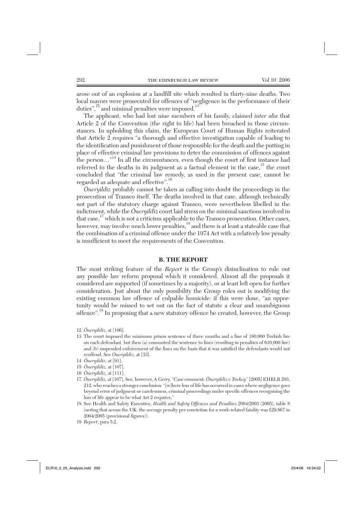arose out of an explosion at a landfill site which resulted in thirty-nine deaths. Two local mayors were prosecuted for offences of "negligence in the performance of their duties",<sup>12</sup> and minimal penalties were imposed.<sup>13</sup>

The applicant, who had lost nine members of his family, claimed *inter alia* that Article 2 of the Convention (the right to life) had been breached in those circumstances. In upholding this claim, the European Court of Human Rights reiterated that Article 2 requires "a thorough and effective investigation capable of leading to the identification and punishment of those responsible for the death and the putting in place of effective criminal law provisions to deter the commission of offences against the person..."<sup>14</sup> In all the circumstances, even though the court of first instance had referred to the deaths in its judgment as a factual element in the case,  $15$  the court concluded that "the criminal law remedy, as used in the present case, cannot be regarded as adequate and effective".16

*Öneryildiz* probably cannot be taken as calling into doubt the proceedings in the prosecution of Transco itself. The deaths involved in that case, although technically not part of the statutory charge against Transco, were nevertheless libelled in the indictment, while the *Öneryildiz* court laid stress on the minimal sanctions involved in that case,  $^{17}$  which is not a criticism applicable to the Transco prosecution. Other cases, however, may involve much lower penalties,<sup>18</sup> and there is at least a stateable case that the combination of a criminal offence under the 1974 Act with a relatively low penalty is insufficient to meet the requirements of the Convention.

### **B. THE REPORT**

The most striking feature of the *Report* is the Group's disinclination to rule out any possible law reform proposal which it considered. Almost all the proposals it con sidered are supported (if sometimes by a majority), or at least left open for further consideration. Just about the only possibility the Group rules out is modifying the existing common law offence of culpable homicide: if this were done, "an opportunity would be missed to set out on the fact of statute a clear and unambiguous offence".19 In proposing that a new statutory offence be created, however, the Group

- 13 The court imposed the minimum prison sentence of three months and a fine of 160,000 Turkish lire on each defendant, but then (a) commuted the sentence to fines (resulting in penalties of 610,000 lire) and (b) suspended enforcement of the fines on the basis that it was satisfied the defendants would not reoffend. See *Öneryildiz,* at [33].
- 14 *Öneryildiz,* at [91].
- 15 *Öneryildiz,* at [107].
- 16 *Öneryildiz,* at [111].
- 17 *Öneryildiz,* at [107]. See*,* however, A Gerry, "Case comment: *Öneryildiz v Turkey*" [2005] EHRLR 203, 212, who reaches a stronger conclusion: "[w]here loss of life has occurred in cases where negligence goes beyond error of judgment or carelessness, criminal proceedings under specific offences recognising the loss of life appear to be what Art 2 requires."
- 18 See Health and Safety Executive, *Health and Safety Offences and Penalties 2004/2005* (2005), table 8 (noting that across the UK, the average penalty per conviction for a work-related fatality was £29,867 in  $2004/2005$  (provisional figures)).
- 19 *Report*, para 5.2.

<sup>12</sup> *Öneryildiz,* at [106].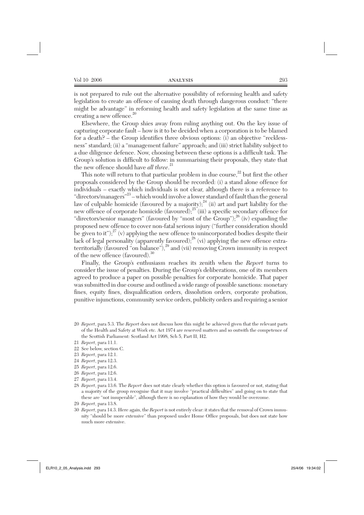is not prepared to rule out the alternative possibility of reforming health and safety legislation to create an offence of causing death through dangerous conduct: "there might be advantage" in reforming health and safety legislation at the same time as creating a new offence.<sup>20</sup>

Elsewhere, the Group shies away from ruling anything out. On the key issue of capturing corporate fault – how is it to be decided when a corporation is to be blamed for a death? – the Group identifies three obvious options: (i) an objective "recklessness" standard; (ii) a "management failure" approach; and (iii) strict liability subject to a due diligence defence. Now, choosing between these options is a difficult task. The Group's solution is difficult to follow: in summarising their proposals, they state that the new offence should have *all three*. 21

This note will return to that particular problem in due course, $22$  but first the other proposals considered by the Group should be recorded: (i) a stand alone offence for individuals – exactly which individuals is not clear, although there is a reference to "directors/managers"23 – which would involve a lower standard of fault than the general law of culpable homicide (favoured by a majority); $^{24}$  (ii) art and part liability for the new offence of corporate homicide (favoured);  $25$  (iii) a specific secondary offence for "directors/senior managers" (favoured by "most of the  $\overline{Group}$ ");  $^{26}$  (iv) expanding the proposed new offence to cover non-fatal serious injury ("further consideration should be given to it");  $2^7$  (v) applying the new offence to unincorporated bodies despite their lack of legal personality (apparently favoured);<sup>28</sup> (vi) applying the new offence extraterritorially (favoured "on balance"),  $^{29}$  and (vii) removing Crown immunity in respect of the new offence (favoured).<sup>30</sup>

Finally, the Group's enthusiasm reaches its zenith when the *Report* turns to consider the issue of penalties. During the Group's deliberations, one of its members agreed to produce a paper on possible penalties for corporate homicide. That paper was submitted in due course and outlined a wide range of possible sanctions: monetary fines, equity fines, disqualification orders, dissolution orders, corporate probation, punitive injunctions, community service orders, publicity orders and requiring a senior

- 20 *Report*, para 5.3. The *Report* does not discuss how this might be achieved given that the relevant parts of the Health and Safety at Work etc. Act 1974 are reserved matters and so outwith the competence of the Scottish Parliament: Scotland Act 1998, Sch 5, Part II, H2.
- 21 *Report*, para 11.1.
- 22 See below, section C.
- 23 *Report*, para 12.1.
- 24 *Report*, para 12.3.
- 25 *Report*, para 12.6.
- 26 *Report*, para 12.6.
- 27 *Report*, para 13.4.
- 28 *Report*, para 13.6. The *Report* does not state clearly whether this option is favoured or not, stating that a majority of the group recognise that it may involve "practical difficulties" and going on to state that these are "not insuperable", although there is no explanation of how they would be overcome.
- 29 *Report*, para 13.8.
- 30 *Report*, para 14.3. Here again, the *Report* is not entirely clear: it states that the removal of Crown immunity "should be more extensive" than proposed under Home Office proposals, but does not state how much more extensive.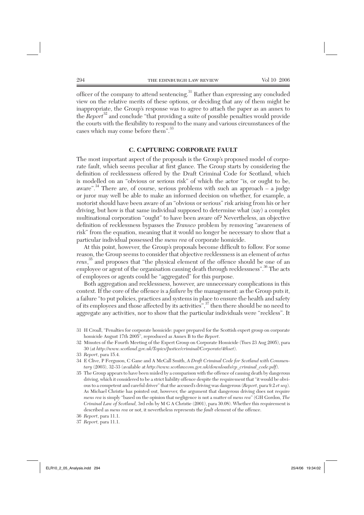officer of the company to attend sentencing.<sup>31</sup> Rather than expressing any concluded view on the relative merits of these options, or deciding that any of them might be inappropriate, the Group's response was to agree to attach the paper as an annex to the *Report*32 and conclude "that providing a suite of possible penalties would provide the courts with the flexibility to respond to the many and various circumstances of the cases which may come before them".<sup>33</sup>

#### **C. CAPTURING CORPORATE FAULT**

The most important aspect of the proposals is the Group's proposed model of corporate fault, which seems peculiar at first glance. The Group starts by considering the definition of recklessness offered by the Draft Criminal Code for Scotland, which is modelled on an "obvious or serious risk" of which the actor "is, or ought to be, aware". $34$  There are, of course, serious problems with such an approach – a judge or juror may well be able to make an informed decision on whether, for example, a motorist should have been aware of an "obvious or serious" risk arising from his or her driving, but how is that same individual supposed to determine what (say) a complex multinational corporation "ought" to have been aware of? Nevertheless, an objective definition of recklessness bypasses the *Transco* problem by removing "awareness of risk" from the equation, meaning that it would no longer be necessary to show that a particular individual possessed the *mens rea* of corporate homicide.

At this point, however, the Group's proposals become difficult to follow. For some reason, the Group seems to consider that objective recklessness is an element of *actus reus*, 35 and proposes that "the physical element of the offence should be one of an employee or agent of the organisation causing death through recklessness".<sup>36</sup> The acts of employees or agents could be "aggregated" for this purpose.

Both aggregation and recklessness, however, are unnecessary complications in this context. If the core of the offence is a *failure* by the management: as the Group puts it, a failure "to put policies, practices and systems in place to ensure the health and safety of its employees and those affected by its activities",37 then there should be no need to aggregate any activities, nor to show that the particular individuals were "reckless". It

<sup>31</sup> H Croall, "Penalties for corporate homicide: paper prepared for the Scottish expert group on corporate homicide August 17th 2005", reproduced as Annex B to the *Report*.

<sup>32</sup> Minutes of the Fourth Meeting of the Expert Group on Corporate Homicide (Tues 23 Aug 2005), para 30 (at *http://www.scotland.gov.uk/Topics/Justice/criminal/Corporate/4thset*).

<sup>33</sup> *Report*, para 15.4.

<sup>34</sup> E Clive, P Ferguson, C Gane and A McCall Smith, *A Draft Criminal Code for Scotland with Commentary* (2003), 32-33 (available at *http://www.scotlawcom.gov.uk/downloads/cp\_criminal\_code.pdf*).

<sup>35</sup> The Group appears to have been misled by a comparison with the offence of causing death by dangerous driving, which it considered to be a strict liability offence despite the requirement that "it would be obvious to a competent and careful driver" that the accused's driving was dangerous (*Report*, para 9.2 *et seq*). As Michael Christie has pointed out, however, the argument that dangerous driving does not require *mens rea* is simply "based on the opinion that negligence is not a matter of *mens rea*" (GH Gordon, *The Criminal Law of Scotland,* 3rd edn by M G A Christie (2001), para 30.08). Whether this requirement is described as *mens rea* or not, it nevertheless represents the *fault* element of the offence.

<sup>36</sup> *Report*, para 11.1.

<sup>37</sup> *Report,* para 11.1.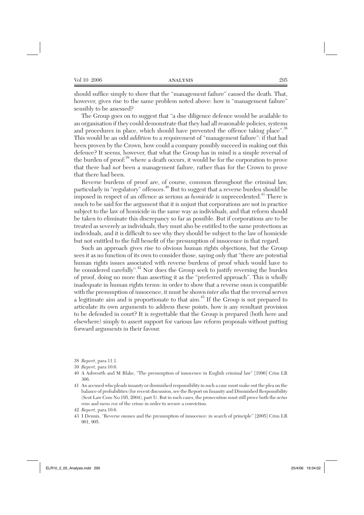should suffice simply to show that the "management failure" caused the death. That, however, gives rise to the same problem noted above: how is "management failure" sensibly to be assessed?

The Group goes on to suggest that "a due diligence defence would be available to an organisation if they could demonstrate that they had all reasonable policies, systems and procedures in place, which should have prevented the offence taking place".<sup>38</sup> This would be an odd *addition* to a requirement of "management failure": if that had been proven by the Crown, how could a company possibly succeed in making out this defence? It seems, however, that what the Group has in mind is a simple reversal of the burden of proof:<sup>39</sup> where a death occurs, it would be for the corporation to prove that there had *not* been a management failure, rather than for the Crown to prove that there had been.

Reverse burdens of proof are, of course, common throughout the criminal law, particularly in "regulatory" offences.<sup>40</sup> But to suggest that a reverse burden should be imposed in respect of an offence as serious as *homicide* is unprecedented.<sup>41</sup> There is much to be said for the argument that it is unjust that corporations are not in practice subject to the law of homicide in the same way as individuals, and that reform should be taken to eliminate this discrepancy so far as possible. But if corporations are to be treated as severely as individuals, they must also be entitled to the same protections as individuals, and it is difficult to see why they should be subject to the law of homicide but not entitled to the full benefit of the presumption of innocence in that regard.

Such an approach gives rise to obvious human rights objections, but the Group sees it as no function of its own to consider those, saying only that "there are potential human rights issues associated with reverse burdens of proof which would have to be considered carefully".<sup>42</sup> Nor does the Group seek to justify reversing the burden of proof, doing no more than asserting it as the "preferred approach". This is wholly inadequate in human rights terms: in order to show that a reverse onus is compatible with the presumption of innocence, it must be shown *inter alia* that the reversal serves a legitimate aim and is proportionate to that aim.<sup>43</sup> If the Group is not prepared to articulate its own arguments to address these points, how is any resultant provision to be defended in court? It is regrettable that the Group is prepared (both here and elsewhere) simply to assert support for various law reform proposals without putting forward arguments in their favour.

- 38 *Report*, para 11.1.
- 39 *Report,* para 10.6.

- 41 An accused who pleads insanity or diminished responsibility in such a case must make out the plea on the balance of probabilities (for recent discussion, see the Report on Insanity and Diminished Responsibility (Scot Law Com No 195, 2004), part 5). But in such cases, the prosecution must still prove both the *actus reus* and *mens rea* of the crime in order to secure a conviction.
- 42 *Report*, para 10.6.
- 43 I Dennis, "Reverse onuses and the presumption of innocence: in search of principle" [2005] Crim LR 901, 905.

<sup>40</sup> A Ashworth and M Blake, "The presumption of innocence in English criminal law" [1996] Crim LR 306.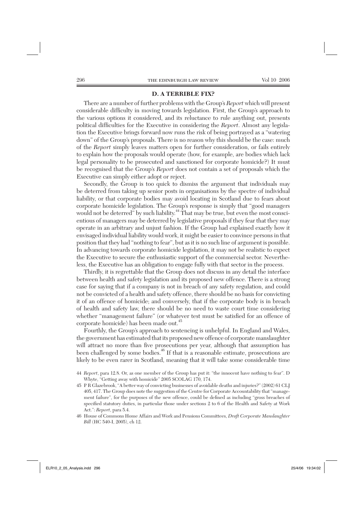## **D. A TERRIBLE FIX?**

There are a number of further problems with the Group's *Report* which will present considerable difficulty in moving towards legislation. First, the Group's approach to the various options it considered, and its reluctance to rule anything out, presents political difficulties for the Executive in considering the *Report*. Almost any legislation the Executive brings forward now runs the risk of being portrayed as a "watering down" of the Group's proposals. There is no reason why this should be the case: much of the *Report* simply leaves matters open for further consideration, or fails entirely to explain how the proposals would operate (how, for example, are bodies which lack legal personality to be prosecuted and sanctioned for corporate homicide?) It must be recognised that the Group's *Report* does not contain a set of proposals which the Executive can simply either adopt or reject.

Secondly, the Group is too quick to dismiss the argument that individuals may be deterred from taking up senior posts in organisations by the spectre of individual liability, or that corporate bodies may avoid locating in Scotland due to fears about corporate homicide legislation. The Group's response is simply that "good managers would not be deterred" by such liability.<sup>44</sup> That may be true, but even the most conscientious of managers may be deterred by legislative proposals if they fear that they may operate in an arbitrary and unjust fashion. If the Group had explained exactly how it envisaged individual liability would work, it might be easier to convince persons in that position that they had "nothing to fear", but as it is no such line of argument is possible. In advancing towards corporate homicide legislation, it may not be realistic to expect the Executive to secure the enthusiastic support of the commercial sector. Nevertheless, the Executive has an obligation to engage fully with that sector in the process.

Thirdly, it is regrettable that the Group does not discuss in any detail the interface between health and safety legislation and its proposed new offence. There is a strong case for saying that if a company is not in breach of any safety regulation, and could not be convicted of a health and safety offence, there should be no basis for convicting it of an offence of homicide; and conversely, that if the corporate body is in breach of health and safety law, there should be no need to waste court time considering whether "management failure" (or whatever test must be satisfied for an offence of corporate homicide) has been made out.<sup>45</sup>

Fourthly, the Group's approach to sentencing is unhelpful. In England and Wales, the government has estimated that its proposed new offence of corporate manslaughter will attract no more than five prosecutions per year, although that assumption has been challenged by some bodies.46 If that is a reasonable estimate, prosecutions are likely to be even rarer in Scotland, meaning that it will take some considerable time

- 44 *Report*, para 12.8. Or, as one member of the Group has put it: "the innocent have nothing to fear". D Whyte, "Getting away with homicide" 2005 SCOLAG 170, 174.
- 45 P R Glazebrook, "A better way of convicting businesses of avoidable deaths and injuries?" (2002) 61 CLJ 405, 417. The Group does note the suggestion of the Centre for Corporate Accountability that "management failure", for the purposes of the new offence, could be defined as including "gross breaches of specified statutory duties, in particular those under sections 2 to 6 of the Health and Safety at Work Act.": *Report*, para 5.4.
- 46 House of Commons Home Affairs and Work and Pensions Committees, *Draft Corporate Manslaughter Bill* (HC 540-I, 2005), ch 12.